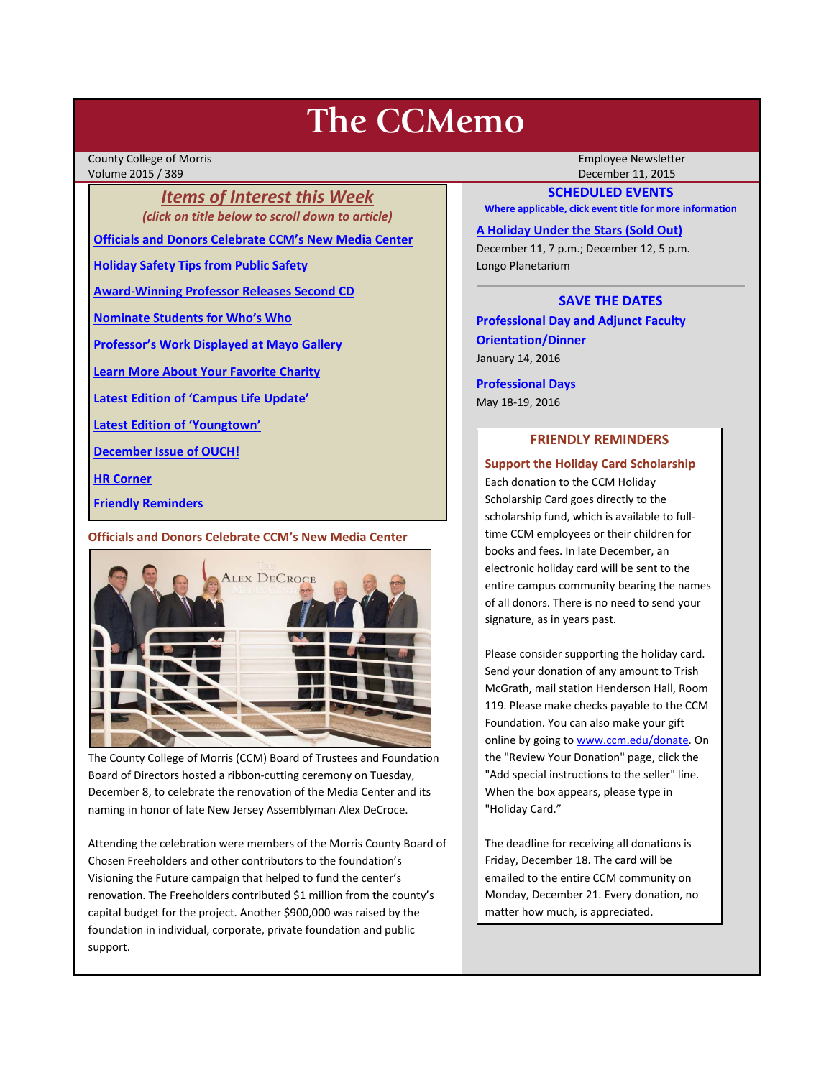# **The CCMemo**

County College of Morris Employee Newsletter Volume 2015 / 389 December 11, 2015

*Items of Interest this Week (click on title below to scroll down to article)*

**[Officials and Donors Celebrate CCM's New Media Center](#page-0-0)**

**[Holiday Safety Tips from Public Safety](#page-1-0)**

**[Award-Winning Professor Releases Second CD](#page-1-1)**

**[Nominate Students for Who's Who](#page-1-2)**

**[Professor's Work Displayed at Mayo Gallery](#page-1-3)**

**[Learn More About Your Favorite Charity](#page-2-0)**

**[Latest Edition of 'Campus Life Update'](#page-2-1)**

**[Latest Edition of 'Youngtown'](#page-2-2)**

**[December Issue of OUCH!](#page-2-3)**

**[HR Corner](#page-2-4)**

**[Friendly Reminders](#page-0-1)**

<span id="page-0-0"></span>**Officials and Donors Celebrate CCM's New Media Center**



The County College of Morris (CCM) Board of Trustees and Foundation Board of Directors hosted a ribbon-cutting ceremony on Tuesday, December 8, to celebrate the renovation of the Media Center and its naming in honor of late New Jersey Assemblyman Alex DeCroce.

Attending the celebration were members of the Morris County Board of Chosen Freeholders and other contributors to the foundation's Visioning the Future campaign that helped to fund the center's renovation. The Freeholders contributed \$1 million from the county's capital budget for the project. Another \$900,000 was raised by the foundation in individual, corporate, private foundation and public support.

## **SCHEDULED EVENTS**

**Where applicable, click event title for more information**

**[A Holiday Under the Stars \(Sold Out\)](http://www.ccm.edu/newsEvents/eventDetails.aspx?Channel=/Channels/Sitewide&WorkflowItemID=33f45ee9-5e7c-4835-b2d6-c900facd707d)**

December 11, 7 p.m.; December 12, 5 p.m. Longo Planetarium

## **SAVE THE DATES**

**Professional Day and Adjunct Faculty Orientation/Dinner** January 14, 2016

**Professional Days** May 18-19, 2016

## **FRIENDLY REMINDERS**

<span id="page-0-1"></span>**Support the Holiday Card Scholarship**

Each donation to the CCM Holiday Scholarship Card goes directly to the scholarship fund, which is available to fulltime CCM employees or their children for books and fees. In late December, an electronic holiday card will be sent to the entire campus community bearing the names of all donors. There is no need to send your signature, as in years past.

Please consider supporting the holiday card. Send your donation of any amount to Trish McGrath, mail station Henderson Hall, Room 119. Please make checks payable to the CCM Foundation. You can also make your gift online by going t[o www.ccm.edu/donate.](http://www.ccm.edu/donate) On the "Review Your Donation" page, click the "Add special instructions to the seller" line. When the box appears, please type in "Holiday Card."

The deadline for receiving all donations is Friday, December 18. The card will be emailed to the entire CCM community on Monday, December 21. Every donation, no matter how much, is appreciated.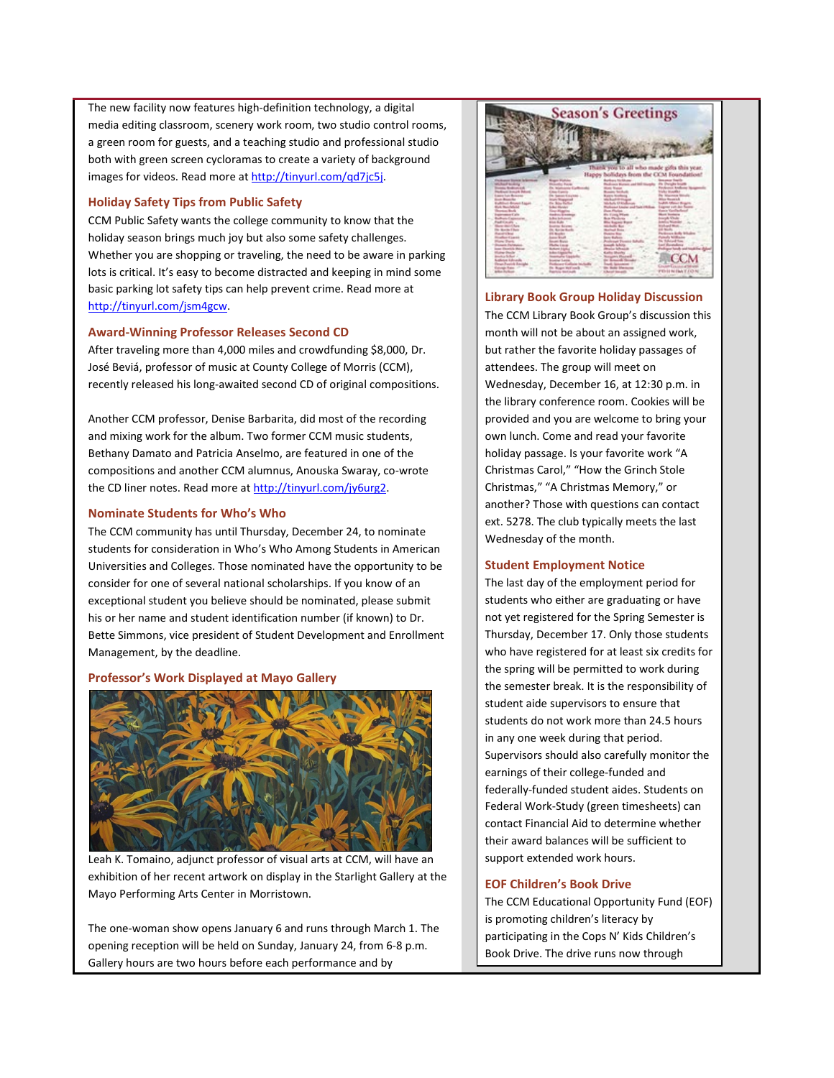The new facility now features high-definition technology, a digital media editing classroom, scenery work room, two studio control rooms, a green room for guests, and a teaching studio and professional studio both with green screen cycloramas to create a variety of background images for videos. Read more at http://tinyurl.com/qd7jc5j.

### <span id="page-1-0"></span>**Holiday Safety Tips from Public Safety**

CCM Public Safety wants the college community to know that the holiday season brings much joy but also some safety challenges. Whether you are shopping or traveling, the need to be aware in parking lots is critical. It's easy to become distracted and keeping in mind some basic parking lot safety tips can help prevent crime. Read more at [http://tinyurl.com/jsm4gcw.](http://tinyurl.com/jsm4gcw)

## <span id="page-1-1"></span>**Award-Winning Professor Releases Second CD**

After traveling more than 4,000 miles and crowdfunding \$8,000, Dr. José Beviá, professor of music at County College of Morris (CCM), recently released his long-awaited second CD of original compositions.

Another CCM professor, Denise Barbarita, did most of the recording and mixing work for the album. Two former CCM music students, Bethany Damato and Patricia Anselmo, are featured in one of the compositions and another CCM alumnus, Anouska Swaray, co-wrote the CD liner notes. Read more at [http://tinyurl.com/jy6urg2.](http://tinyurl.com/jy6urg2)

#### <span id="page-1-2"></span>**Nominate Students for Who's Who**

The CCM community has until Thursday, December 24, to nominate students for consideration in Who's Who Among Students in American Universities and Colleges. Those nominated have the opportunity to be consider for one of several national scholarships. If you know of an exceptional student you believe should be nominated, please submit his or her name and student identification number (if known) to Dr. Bette Simmons, vice president of Student Development and Enrollment Management, by the deadline.

## <span id="page-1-3"></span>**Professor's Work Displayed at Mayo Gallery**



Leah K. Tomaino, adjunct professor of visual arts at CCM, will have an exhibition of her recent artwork on display in the Starlight Gallery at the Mayo Performing Arts Center in Morristown.

The one-woman show opens January 6 and runs through March 1. The opening reception will be held on Sunday, January 24, from 6-8 p.m. Gallery hours are two hours before each performance and by



**Library Book Group Holiday Discussion**  The CCM Library Book Group's discussion this month will not be about an assigned work, but rather the favorite holiday passages of attendees. The group will meet on Wednesday, December 16, at 12:30 p.m. in the library conference room. Cookies will be provided and you are welcome to bring your own lunch. Come and read your favorite holiday passage. Is your favorite work "A Christmas Carol," "How the Grinch Stole Christmas," "A Christmas Memory," or another? Those with questions can contact ext. 5278. The club typically meets the last Wednesday of the month.

#### **Student Employment Notice**

The last day of the employment period for students who either are graduating or have not yet registered for the Spring Semester is Thursday, December 17. Only those students who have registered for at least six credits for the spring will be permitted to work during the semester break. It is the responsibility of student aide supervisors to ensure that students do not work more than 24.5 hours in any one week during that period. Supervisors should also carefully monitor the earnings of their college-funded and federally-funded student aides. Students on Federal Work-Study (green timesheets) can contact Financial Aid to determine whether their award balances will be sufficient to support extended work hours.

## **EOF Children's Book Drive**

The CCM Educational Opportunity Fund (EOF) is promoting children's literacy by participating in the Cops N' Kids Children's Book Drive. The drive runs now through